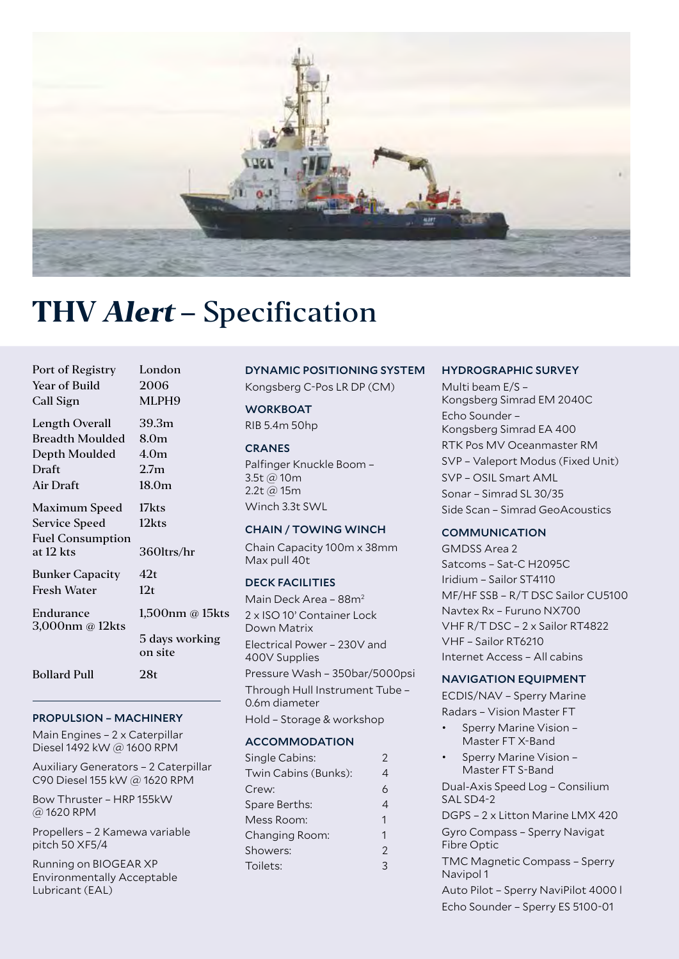

# **THV Alert –** Specification

| Port of Registry             | London                    |
|------------------------------|---------------------------|
| Year of Build                | 2006                      |
| Call Sign                    | MLPH9                     |
| Length Overall               | 39.3m                     |
| <b>Breadth Moulded</b>       | 8.0 <sub>m</sub>          |
| Depth Moulded                | 4.0 <sub>m</sub>          |
| Draft                        | 2.7 <sub>m</sub>          |
| Air Draft                    | 18.0 <sub>m</sub>         |
| Maximum Speed                | 17kts                     |
| <b>Service Speed</b>         | 12kts                     |
| <b>Fuel Consumption</b>      |                           |
| at 12 kts                    | 360ltrs/hr                |
| <b>Bunker Capacity</b>       | 42t                       |
| Fresh Water                  | 12 <sub>t</sub>           |
| Endurance<br>3,000nm @ 12kts | 1,500nm @ 15kts           |
|                              | 5 days working<br>on site |
| <b>Bollard Pull</b>          | 28t                       |

## PROPULSION – MACHINERY

Main Engines – 2 x Caterpillar Diesel 1492 kW @ 1600 RPM

Auxiliary Generators – 2 Caterpillar C90 Diesel 155 kW @ 1620 RPM

Bow Thruster – HRP 155kW @ 1620 RPM

Propellers – 2 Kamewa variable pitch 50 XF5/4

Running on BIOGEAR XP Environmentally Acceptable Lubricant (EAL)

#### DYNAMIC POSITIONING SYSTEM

Kongsberg C-Pos LR DP (CM)

**WORKBOAT** 

RIB 5.4m 50hp

# **CRANES**

Palfinger Knuckle Boom – 3.5t @ 10m 2.2t @ 15m Winch 3.3t SWL

#### CHAIN / TOWING WINCH

Chain Capacity 100m x 38mm Max pull 40t

## DECK FACILITIES

Main Deck Area – 88m2 2 x ISO 10' Container Lock Down Matrix Electrical Power – 230V and 400V Supplies Pressure Wash – 350bar/5000psi Through Hull Instrument Tube – 0.6m diameter Hold – Storage & workshop

#### **ACCOMMODATION**

| Single Cabins:       | 2              |
|----------------------|----------------|
| Twin Cabins (Bunks): | 4              |
| Crew:                | 6              |
| Spare Berths:        | 4              |
| Mess Room:           | 1              |
| Changing Room:       | 1              |
| Showers:             | $\mathfrak{D}$ |
| Toilets:             | 3              |
|                      |                |

#### HYDROGRAPHIC SURVEY

Multi beam E/S – Kongsberg Simrad EM 2040C Echo Sounder – Kongsberg Simrad EA 400 RTK Pos MV Oceanmaster RM SVP – Valeport Modus (Fixed Unit) SVP – OSIL Smart AML Sonar – Simrad SL 30/35 Side Scan – Simrad GeoAcoustics

#### **COMMUNICATION**

GMDSS Area 2 Satcoms – Sat-C H2095C Iridium – Sailor ST4110 MF/HF SSB – R/T DSC Sailor CU5100 Navtex Rx – Furuno NX700 VHF R/T DSC – 2 x Sailor RT4822 VHF – Sailor RT6210 Internet Access – All cabins

#### NAVIGATION EQUIPMENT

ECDIS/NAV – Sperry Marine Radars – Vision Master FT

- Sperry Marine Vision Master FT X-Band
- Sperry Marine Vision Master FT S-Band

Dual-Axis Speed Log – Consilium SAL SD4-2

DGPS – 2 x Litton Marine LMX 420 Gyro Compass – Sperry Navigat Fibre Optic

TMC Magnetic Compass – Sperry Navipol 1

Auto Pilot – Sperry NaviPilot 4000 l Echo Sounder – Sperry ES 5100-01